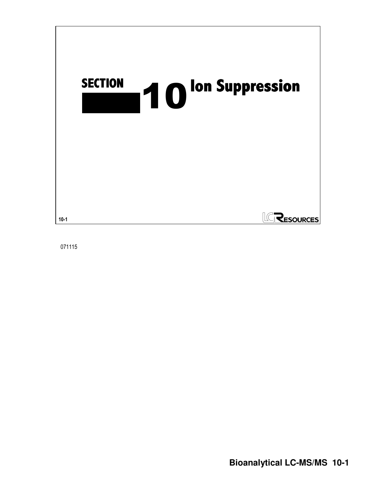

071115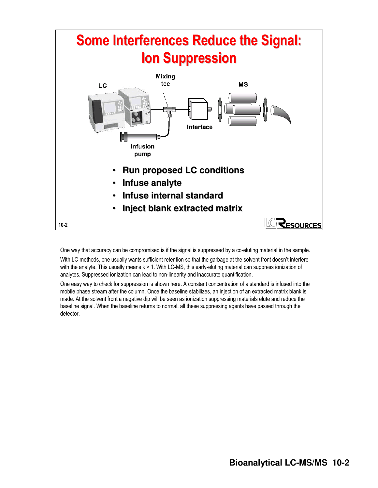

One way that accuracy can be compromised is if the signal is suppressed by a co-eluting material in the sample.

With LC methods, one usually wants sufficient retention so that the garbage at the solvent front doesn't interfere with the analyte. This usually means k > 1. With LC-MS, this early-eluting material can suppress ionization of analytes. Suppressed ionization can lead to non-linearity and inaccurate quantification.

One easy way to check for suppression is shown here. A constant concentration of a standard is infused into the mobile phase stream after the column. Once the baseline stabilizes, an injection of an extracted matrix blank is made. At the solvent front a negative dip will be seen as ionization suppressing materials elute and reduce the baseline signal. When the baseline returns to normal, all these suppressing agents have passed through the detector.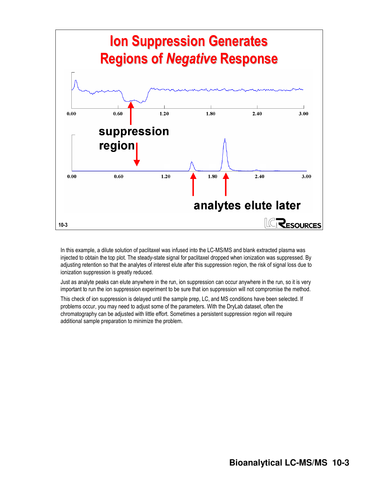

In this example, a dilute solution of paclitaxel was infused into the LC-MS/MS and blank extracted plasma was injected to obtain the top plot. The steady-state signal for paclitaxel dropped when ionization was suppressed. By adjusting retention so that the analytes of interest elute after this suppression region, the risk of signal loss due to ionization suppression is greatly reduced.

Just as analyte peaks can elute anywhere in the run, ion suppression can occur anywhere in the run, so it is very important to run the ion suppression experiment to be sure that ion suppression will not compromise the method.

This check of ion suppression is delayed until the sample prep, LC, and MS conditions have been selected. If problems occur, you may need to adjust some of the parameters. With the DryLab dataset, often the chromatography can be adjusted with little effort. Sometimes a persistent suppression region will require additional sample preparation to minimize the problem.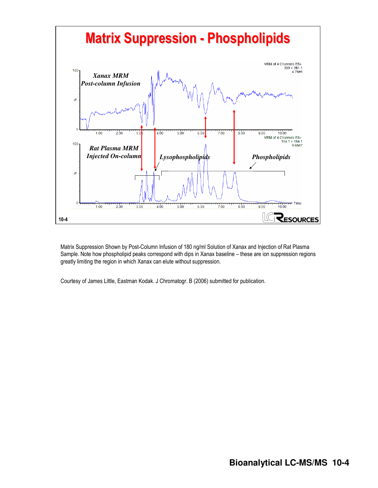

Matrix Suppression Shown by Post-Column Infusion of 180 ng/ml Solution of Xanax and Injection of Rat Plasma Sample. Note how phospholipid peaks correspond with dips in Xanax baseline – these are ion suppression regions greatly limiting the region in which Xanax can elute without suppression.

Courtesy of James Little, Eastman Kodak. J Chromatogr. B (2006) submitted for publication.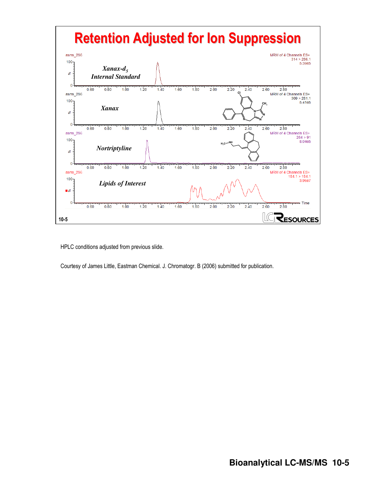

HPLC conditions adjusted from previous slide.

Courtesy of James Little, Eastman Chemical. J. Chromatogr. B (2006) submitted for publication.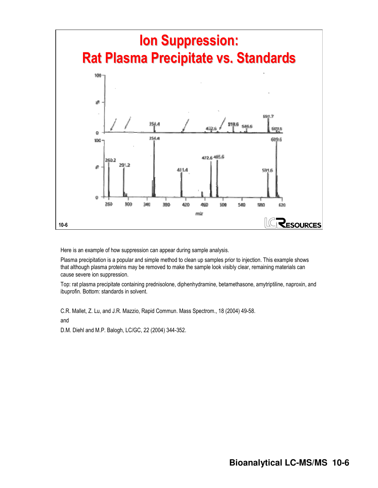

Here is an example of how suppression can appear during sample analysis.

Plasma precipitation is a popular and simple method to clean up samples prior to injection. This example shows that although plasma proteins may be removed to make the sample look visibly clear, remaining materials can cause severe ion suppression.

Top: rat plasma precipitate containing prednisolone, diphenhydramine, betamethasone, amytriptiline, naproxin, and ibuprofin. Bottom: standards in solvent.

C.R. Mallet, Z. Lu, and J.R. Mazzio, Rapid Commun. Mass Spectrom., 18 (2004) 49-58.

and

D.M. Diehl and M.P. Balogh, LC/GC, 22 (2004) 344-352.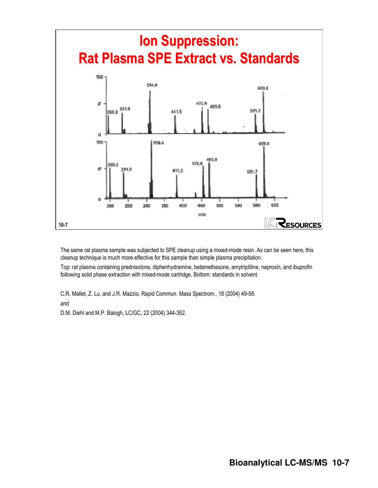

The same rat plasma sample was subjected to SPE cleanup using a mixed-mode resin. As can be seen here, this cleanup technique is much more effective for this sample than simple plasma precipitation.

Top: rat plasma containing prednisolone, diphenhydramine, betamethasone, amytriptiline, naproxin, and ibuprofin following solid phase extraction with mixed-mode cartridge. Bottom: standards in solvent.

C.R. Mallet, Z. Lu, and J.R. Mazzio, Rapid Commun. Mass Spectrom., 18 (2004) 49-58.

and

D.M. Diehl and M.P. Balogh, LC/GC, 22 (2004) 344-352.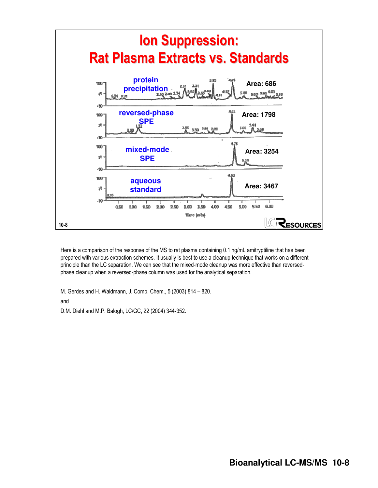

Here is a comparison of the response of the MS to rat plasma containing 0.1 ng/mL amitryptiline that has been prepared with various extraction schemes. It usually is best to use a cleanup technique that works on a different principle than the LC separation. We can see that the mixed-mode cleanup was more effective than reversedphase cleanup when a reversed-phase column was used for the analytical separation.

M. Gerdes and H. Waldmann, J. Comb. Chem., 5 (2003) 814 – 820.

and

D.M. Diehl and M.P. Balogh, LC/GC, 22 (2004) 344-352.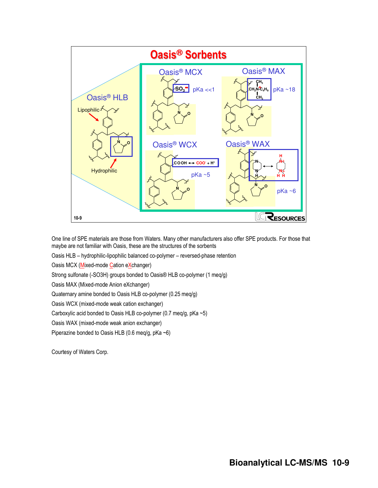

One line of SPE materials are those from Waters. Many other manufacturers also offer SPE products. For those that maybe are not familiar with Oasis, these are the structures of the sorbents

Oasis HLB – hydrophilic-lipophilic balanced co-polymer – reversed-phase retention

Oasis MCX (Mixed-mode Cation eXchanger)

Strong sulfonate (-SO3H) groups bonded to Oasis® HLB co-polymer (1 meq/g)

Oasis MAX (Mixed-mode Anion eXchanger)

Quaternary amine bonded to Oasis HLB co-polymer (0.25 meq/g)

Oasis WCX (mixed-mode weak cation exchanger)

Carboxylic acid bonded to Oasis HLB co-polymer (0.7 meq/g, pKa ~5)

Oasis WAX (mixed-mode weak anion exchanger)

Piperazine bonded to Oasis HLB (0.6 meq/g, pKa ~6)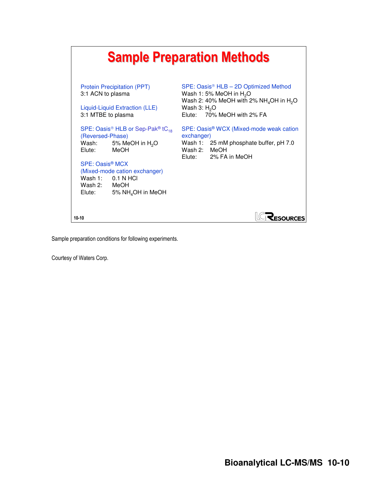|                                                                                                                                                                                                                                                                                                          | <b>Sample Preparation Methods</b>                                                                                                                                             |
|----------------------------------------------------------------------------------------------------------------------------------------------------------------------------------------------------------------------------------------------------------------------------------------------------------|-------------------------------------------------------------------------------------------------------------------------------------------------------------------------------|
| <b>Protein Precipitation (PPT)</b><br>3:1 ACN to plasma<br>Liquid-Liquid Extraction (LLE)<br>3:1 MTBE to plasma                                                                                                                                                                                          | $SPE: Oasis® HLB – 2D Optimized Method$<br>Wash 1: 5% MeOH in $H_2O$<br>Wash 2: 40% MeOH with 2% $NH_4$ OH in H <sub>2</sub> O<br>Wash $3: H2O$<br>Elute: 70% MeOH with 2% FA |
| SPE: Oasis <sup>®</sup> HLB or Sep-Pak <sup>®</sup> tC <sub>18</sub><br>(Reversed-Phase)<br>5% MeOH in H <sub>2</sub> O<br>Wash:<br>Elute: MeOH<br>SPE: Oasis <sup>®</sup> MCX<br>(Mixed-mode cation exchanger)<br>Wash $1: 0.1$ N HCl<br>Wash 2: MeOH<br>5% NH <sub>4</sub> OH in MeOH<br>Elute: Latern | SPE: Oasis <sup>®</sup> WCX (Mixed-mode weak cation<br>exchanger)<br>Wash 1: 25 mM phosphate buffer, pH 7.0<br>Wash 2: MeOH<br>Elute: 2% FA in MeOH                           |
| $10 - 10$                                                                                                                                                                                                                                                                                                | <b>ESOURCES</b>                                                                                                                                                               |

Sample preparation conditions for following experiments.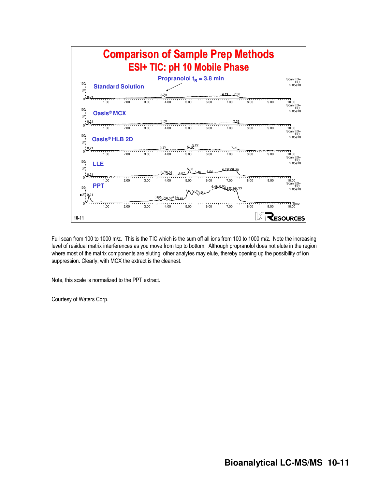

Full scan from 100 to 1000 m/z. This is the TIC which is the sum off all ions from 100 to 1000 m/z. Note the increasing level of residual matrix interferences as you move from top to bottom. Although propranolol does not elute in the region where most of the matrix components are eluting, other analytes may elute, thereby opening up the possibility of ion suppression. Clearly, with MCX the extract is the cleanest.

Note, this scale is normalized to the PPT extract.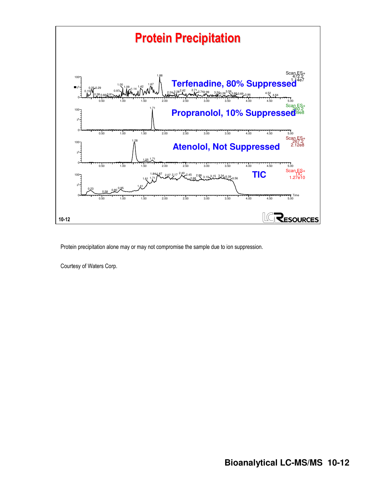

Protein precipitation alone may or may not compromise the sample due to ion suppression.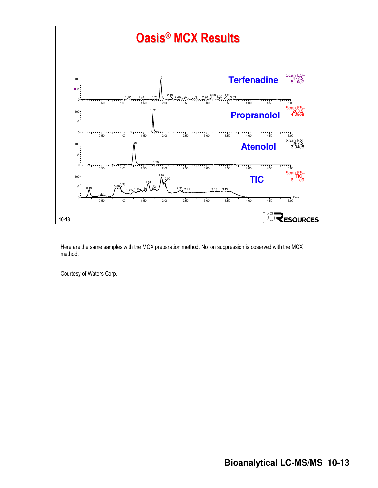

Here are the same samples with the MCX preparation method. No ion suppression is observed with the MCX method.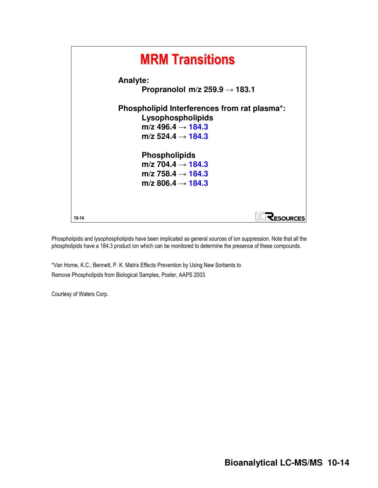

Phospholipids and lysophospholipids have been implicated as general sources of ion suppression. Note that all the phospholipids have a 184.3 product ion which can be monitored to determine the presence of these compounds.

\*Van Horne, K.C.; Bennett, P. K. Matrix Effects Prevention by Using New Sorbents to Remove Phospholipids from Biological Samples, Poster, AAPS 2003.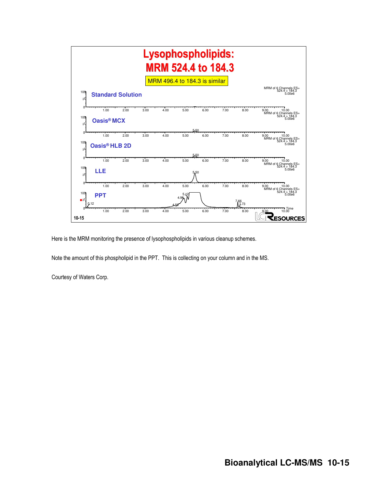

Here is the MRM monitoring the presence of lysophospholipids in various cleanup schemes.

Note the amount of this phospholipid in the PPT. This is collecting on your column and in the MS.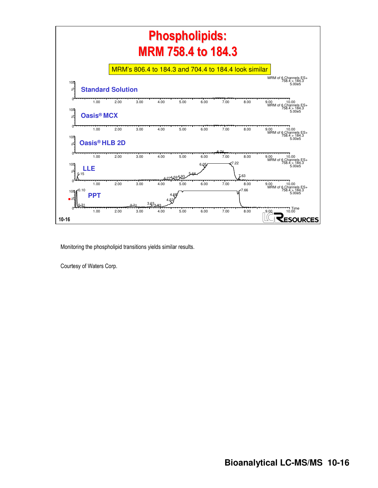

Monitoring the phospholipid transitions yields similar results.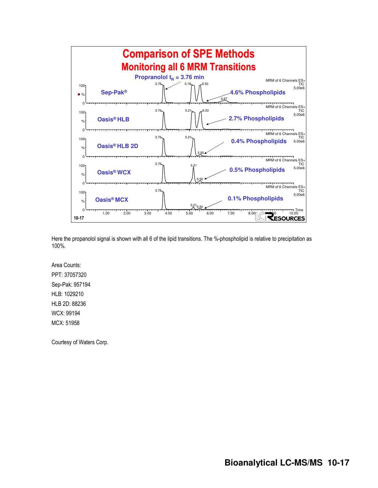

Here the propanolol signal is shown with all 6 of the lipid transitions. The %-phospholipid is relative to precipitation as 100%.

Area Counts: PPT: 37057320 Sep-Pak: 957194 HLB: 1029210 HLB 2D: 88236 WCX: 99194 MCX: 51958